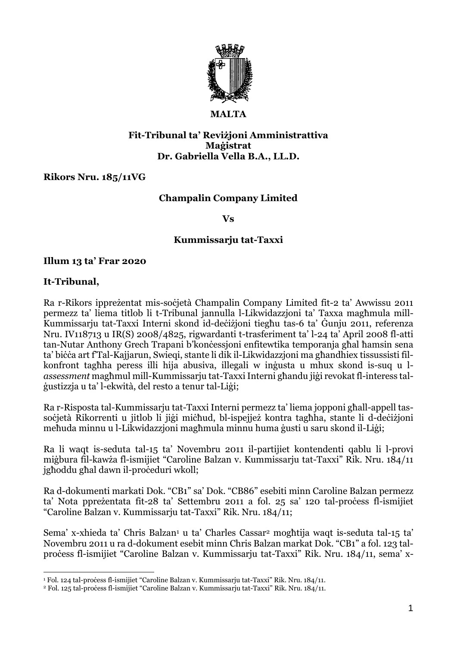

### **MALTA**

#### **Fit-Tribunal ta' Reviżjoni Amministrattiva Maġistrat Dr. Gabriella Vella B.A., LL.D.**

#### **Rikors Nru. 185/11VG**

## **Champalin Company Limited**

#### **Vs**

#### **Kummissarju tat-Taxxi**

#### **Illum 13 ta' Frar 2020**

#### **It-Tribunal,**

Ra r-Rikors ippreżentat mis-soċjetà Champalin Company Limited fit-2 ta' Awwissu 2011 permezz ta' liema titlob li t-Tribunal jannulla l-Likwidazzjoni ta' Taxxa magħmula mill-Kummissarju tat-Taxxi Interni skond id-deċiżjoni tiegħu tas-6 ta' Ġunju 2011, referenza Nru. IV118713 u IR(S) 2008/4825, rigwardanti t-trasferiment ta' l-24 ta' April 2008 fl-atti tan-Nutar Anthony Grech Trapani b'konċessjoni enfitewtika temporanja għal ħamsin sena ta' biċċa art f'Tal-Kajjarun, Swieqi, stante li dik il-Likwidazzjoni ma għandhiex tissussisti filkonfront tagħha peress illi hija abusiva, illegali w inġusta u mhux skond is-suq u l*assessment* magħmul mill-Kummissarju tat-TaxxiInterni għandu jiġi revokat fl-interess talġustizzja u ta' l-ekwità, del resto a tenur tal-Liġi;

Ra r-Risposta tal-Kummissarju tat-Taxxi Interni permezz ta' liema jopponi għall-appell tassoċjetà Rikorrenti u jitlob li jiġi miċħud, bl-ispejjeż kontra tagħha, stante li d-deċiżjoni meħuda minnu u l-Likwidazzjoni magħmula minnu huma ġusti u saru skond il-Liġi;

Ra li waqt is-seduta tal-15 ta' Novembru 2011 il-partijiet kontendenti qablu li l-provi miġbura fil-kawża fl-ismijiet "Caroline Balzan v. Kummissarju tat-Taxxi" Rik. Nru. 184/11 jgħoddu għal dawn il-proċeduri wkoll;

Ra d-dokumenti markati Dok. "CB1" sa' Dok. "CB86" esebiti minn Caroline Balzan permezz ta' Nota ppreżentata fit-28 ta' Settembru 2011 a fol. 25 sa' 120 tal-process fl-ismijiet "Caroline Balzan v. Kummissarju tat-Taxxi" Rik. Nru. 184/11;

Sema' x-xhieda ta' Chris Balzan<sup>1</sup> u ta' Charles Cassar<sup>2</sup> moghtija waqt is-seduta tal-15 ta' Novembru 2011 u ra d-dokument esebit minn Chris Balzan markat Dok. "CB1" a fol. 123 talproċess fl-ismijiet "Caroline Balzan v. Kummissarju tat-Taxxi" Rik. Nru. 184/11, sema' x-

<sup>&</sup>lt;sup>1</sup> Fol. 124 tal-process fl-ismijiet "Caroline Balzan v. Kummissarju tat-Taxxi" Rik. Nru. 184/11.

<sup>&</sup>lt;sup>2</sup> Fol. 125 tal-process fl-ismijiet "Caroline Balzan v. Kummissarju tat-Taxxi" Rik. Nru. 184/11.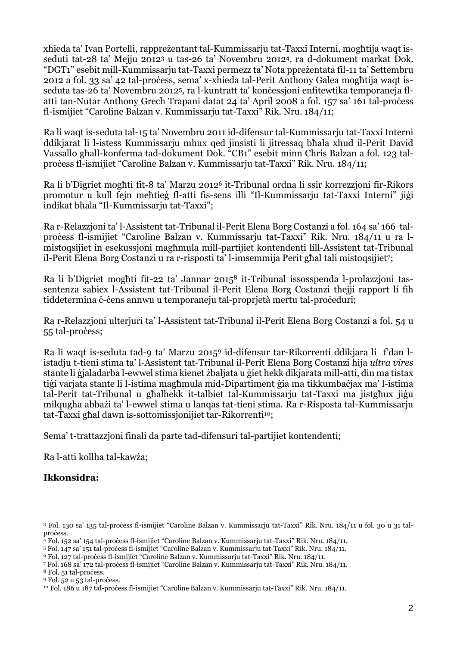xhieda ta' Ivan Portelli, rappreżentant tal-Kummissarju tat-Taxxi Interni, mogħtija waqt isseduti tat-28 ta' Mejju 2012<sup>3</sup> u tas-26 ta' Novembru 20124, ra d-dokument markat Dok. "DGT1" esebit mill-Kummissarju tat-Taxxi permezz ta' Nota ppreżentata fil-11 ta' Settembru 2012 a fol. 33 sa' 42 tal-proċess, sema' x-xhieda tal-Perit Anthony Galea mogħtija waqt isseduta tas-26 ta' Novembru 2012<sup>5</sup>, ra l-kuntratt ta' konċessjoni enfitewtika temporaneja flatti tan-Nutar Anthony Grech Trapani datat 24 ta' April 2008 a fol. 157 sa' 161 tal-process fl-ismijiet "Caroline Balzan v. Kummissarju tat-Taxxi" Rik. Nru. 184/11;

Ra li waqt is-seduta tal-15 ta' Novembru 2011 id-difensur tal-Kummissarju tat-Taxxi Interni ddikjarat li l-istess Kummissarju mhux qed jinsisti li jitressaq bħala xhud il-Perit David Vassallo għall-konferma tad-dokument Dok. "CB1" esebit minn Chris Balzan a fol. 123 talproċess fl-ismijiet "Caroline Balzan v. Kummissarju tat-Taxxi" Rik. Nru. 184/11;

Ra li b'Digriet mogħti fit-8 ta' Marzu 2012<sup>6</sup> it-Tribunal ordna li ssir korrezzjoni fir-Rikors promotur u kull fejn meħtieġ fl-atti fis-sens illi "Il-Kummissarju tat-Taxxi Interni" jiġi indikat bħala "Il-Kummissarju tat-Taxxi";

Ra r-Relazzjoni ta' l-Assistent tat-Tribunal il-Perit Elena Borg Costanzi a fol. 164 sa' 166 talproċess fl-ismijiet "Caroline Balzan v. Kummissarju tat-Taxxi" Rik. Nru. 184/11 u ra lmistoqsijiet in esekussjoni magħmula mill-partijiet kontendenti lill-Assistent tat-Tribunal il-Perit Elena Borg Costanzi u ra r-risposti ta' l-imsemmija Perit għal tali mistoqsijiet7;

Ra li b'Digriet mogħti fit-22 ta' Jannar 2015<sup>8</sup> it-Tribunal issosspenda l-prolazzjoni tassentenza sabiex l-Assistent tat-Tribunal il-Perit Elena Borg Costanzi tħejji rapport li fih tiddetermina ċ-ċens annwu u temporaneju tal-proprjetà mertu tal-proċeduri;

Ra r-Relazzjoni ulterjuri ta' l-Assistent tat-Tribunal il-Perit Elena Borg Costanzi a fol. 54 u 55 tal-process;

Ra li waqt is-seduta tad-9 ta' Marzu 2015<sup>9</sup> id-difensur tar-Rikorrenti ddikjara li f'dan listadju t-tieni stima ta' l-Assistent tat-Tribunal il-Perit Elena Borg Costanzi hija *ultra vires* stante li ġjaladarba l-ewwel stima kienet żbaljata u ġiet hekk dikjarata mill-atti, din ma tistax tiġi varjata stante li l-istima magħmula mid-Dipartiment ġia ma tikkumbaċjax ma' l-istima tal-Perit tat-Tribunal u għalhekk it-talbiet tal-Kummissarju tat-Taxxi ma jistgħux jiġu milqugħa abbażi ta' l-ewwel stima u lanqas tat-tieni stima. Ra r-Risposta tal-Kummissarju tat-Taxxi għal dawn is-sottomissjonijiet tar-Rikorrenti<sup>10</sup>;

Sema' t-trattazzjoni finali da parte tad-difensuri tal-partijiet kontendenti;

Ra l-atti kollha tal-kawża;

# **Ikkonsidra:**

<sup>3</sup> Fol. 130 sa' 135 tal-proċess fl-ismijiet "Caroline Balzan v. Kummissarju tat-Taxxi" Rik. Nru. 184/11 u fol. 30 u 31 talprocess.

<sup>4</sup> Fol. 152 sa' 154 tal-proċess fl-ismijiet "Caroline Balzan v. Kummissarju tat-Taxxi" Rik. Nru. 184/11.

<sup>5</sup> Fol. 147 sa' 151 tal-proċess fl-ismijiet "Caroline Balzan v. Kummissarju tat-Taxxi" Rik. Nru. 184/11.

<sup>6</sup> Fol. 127 tal-proċess fl-ismijiet "Caroline Balzan v. Kummissarju tat-Taxxi" Rik. Nru. 184/11.

<sup>7</sup> Fol. 168 sa' 172 tal-proċess fl-ismijiet "Caroline Balzan v. Kummissarju tat-Taxxi" Rik. Nru. 184/11.

<sup>&</sup>lt;sup>8</sup> Fol. 51 tal-process.

<sup>&</sup>lt;sup>9</sup> Fol. 52 u 53 tal-process.

<sup>10</sup> Fol. 186 u 187 tal-proċess fl-ismijiet "Caroline Balzan v. Kummissarju tat-Taxxi" Rik. Nru. 184/11.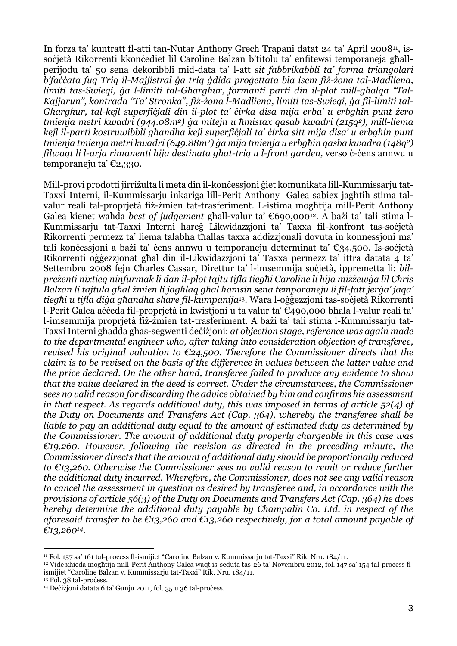In forza ta' kuntratt fl-atti tan-Nutar Anthony Grech Trapani datat 24 ta' April 2008<sup>11</sup>, issoċjetà Rikorrenti kkonċediet lil Caroline Balzan b'titolu ta' enfitewsi temporaneja għallperijodu ta' 50 sena dekoribbli mid-data ta' l-att *sit fabbrikabbli ta' forma triangolari* b'faccata fug Trig il-Majjistral ga trig gdida progettata bla isem fiz-zona tal-Madliena, *limiti tas-Swieqi, ġa l-limiti tal-Għargħur, formanti parti din il-plot mill-għalqa "Tal-*Kajjarun", kontrada "Ta' Stronka", fiż-żona l-Madliena, limiti tas-Swieqi, ga fil-limiti tal-Gharghur, tal-kejl superficjali din il-plot ta' cirka disa mija erba' u erbghin punt żero *tmienja metri kwadri (944.08m2) ġa mitejn u ħmistax qasab kwadri (215q2), mill-liema* kejl il-parti kostruwibbli għandha kejl superficiali ta' cirka sitt mija disa' u erbaħin punt *tmienja tmienja metri kwadri(649.88m2) ġa mija tmienja u erbgħin qasba kwadra (148q2) filwaqt li l-arja rimanenti hija destinata għat-triq u l-front garden,* verso ċ-ċens annwu u temporaneju ta' €2,330.

Mill-provi prodotti jirriżulta li meta din il-konċessjoni ġiet komunikata lill-Kummissarju tat-Taxxi Interni, il-Kummissarju inkariga lill-Perit Anthony Galea sabiex jagħtih stima talvalur reali tal-proprjetà fiż-żmien tat-trasferiment. L-istima mogħtija mill-Perit Anthony Galea kienet waħda *best of judgement* għall-valur ta' €690,00012. A bażi ta' tali stima l-Kummissarju tat-Taxxi Interni ħareġ Likwidazzjoni ta' Taxxa fil-konfront tas-soċjetà Rikorrenti permezz ta' liema talabha tħallas taxxa addizzjonali dovuta in konnessjoni ma' tali konċessioni a bażi ta' ċens annwu u temporaneju determinat ta' €34,500. Is-soċjetà Rikorrenti oġġezzjonat għal din il-Likwidazzjoni ta' Taxxa permezz ta' ittra datata 4 ta' Settembru 2008 fejn Charles Cassar, Direttur ta' l-imsemmija soċjetà, ippremetta li: *bil*preżenti nixtieg ninfurmak li dan il-plot tajtu tifla tiegħi Caroline li hija miżżewga lil Chris Balzan li tajtula għal żmien li jagħlag għal ħamsin sena temporaneju li fil-fatt jerġa' jaga' *tiegħi u tifla diġa għandha share fil-kumpanija*13. Wara l-oġġezzjoni tas-soċjetà Rikorrenti l-Perit Galea aċċeda fil-proprjetà in kwistjoni u ta valur ta' €490,000 bħala l-valur reali ta' l-imsemmija proprjetà fiż-żmien tat-trasferiment. A bażi ta' tali stima l-Kummissarju tat-TaxxiInterni għadda għas-segwenti deċiżjoni: *at objection stage, reference was again made to the departmental engineer who, after taking into consideration objection of transferee, revised his original valuation to €24,500. Therefore the Commissioner directs that the claim is to be revised on the basis of the difference in values between the latter value and the price declared. On the other hand, transferee failed to produce any evidence to show that the value declared in the deed is correct. Under the circumstances, the Commissioner sees no valid reason for discarding the advice obtained by him and confirms his assessment in that respect. As regards additional duty, this was imposed in terms of article 52(4) of the Duty on Documents and Transfers Act (Cap. 364), whereby the transferee shall be liable to pay an additional duty equal to the amount of estimated duty as determined by the Commissioner. The amount of additional duty properly chargeable in this case was €19,260. However, following the revision as directed in the preceding minute, the Commissioner directs that the amount of additional duty should be proportionally reduced to €13,260. Otherwise the Commissioner sees no valid reason to remit or reduce further the additional duty incurred. Wherefore, the Commissioner, does not see any valid reason to cancel the assessment in question as desired by transferee and, in accordance with the provisions of article 56(3) of the Duty on Documents and Transfers Act (Cap. 364) he does hereby determine the additional duty payable by Champalin Co. Ltd. in respect of the aforesaid transfer to be €13,260 and €13,260 respectively, for a total amount payable of €13,26014.*

<sup>11</sup> Fol. 157 sa' 161 tal-proċess fl-ismijiet "Caroline Balzan v. Kummissarju tat-Taxxi" Rik. Nru. 184/11.

<sup>12</sup> Vide xhieda mogħtija mill-Perit Anthony Galea waqt is-seduta tas-26 ta' Novembru 2012, fol. 147 sa' 154 tal-proċess flismijiet "Caroline Balzan v. Kummissarju tat-Taxxi" Rik. Nru. 184/11.

<sup>&</sup>lt;sup>13</sup> Fol. 38 tal-process.

<sup>&</sup>lt;sup>14</sup> Dečižjoni datata 6 ta' Ġunju 2011, fol. 35 u 36 tal-process.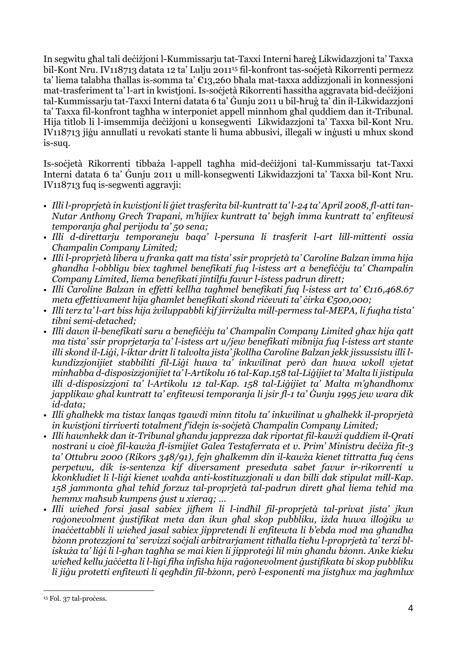In segwitu għal tali deċiżjoni l-Kummissarju tat-Taxxi Interni ħareġ Likwidazzjoni ta' Taxxa bil-Kont Nru. IV118713 datata 12 ta' Lulju 2011<sup>15</sup> fil-konfront tas-soċjetà Rikorrenti permezz ta' liema talabha tħallas is-somma ta' €13,260 bħala mat-taxxa addizzjonali in konnessjoni mat-trasferiment ta' l-art in kwistjoni. Is-soċjetà Rikorrenti ħassitha aggravata bid-deċiżjoni tal-Kummissarju tat-Taxxi Interni datata 6 ta' Ġunju 2011 u bil-ħruġ ta' din il-Likwidazzjoni ta' Taxxa fil-konfront tagħha w interponiet appell minnhom għal quddiem dan it-Tribunal. Hija titlob li l-imsemmija deċiżjoni u konsegwenti Likwidazzjoni ta' Taxxa bil-Kont Nru. IV118713 jiġu annullati u revokati stante li huma abbusivi, illegali w inġusti u mhux skond is-suq.

Is-soċjetà Rikorrenti tibbaża l-appell tagħha mid-deċiżjoni tal-Kummissarju tat-Taxxi Interni datata 6 ta' Ġunju 2011 u mill-konsegwenti Likwidazzjoni ta' Taxxa bil-Kont Nru. IV118713 fuq is-segwenti aggravji:

- · Illi l-proprietà in kwistioni li giet trasferita bil-kuntratt ta' l-24 ta' April 2008, fl-atti tan-*Nutar Anthony Grech Trapani, m'hijiex kuntratt ta' bejgħ imma kuntratt ta' enfitewsi temporanja għal perijodu ta' 50 sena;*
- *• Illi d-direttarju temporaneju baqa' l-persuna li trasferit l-art lill-mittenti ossia Champalin Company Limited;*
- *• Illi l-proprjetà libera u franka qatt ma tista' ssir proprjetà ta' Caroline Balzan imma hija għandha l-obbligu biex tagħmel benefikati fuq l-istess art a benefiċċju ta' Champalin Company Limited, liema benefikati jintilfu favur l-istess padrun dirett;*
- *• Illi Caroline Balzan in effetti kellha tagħmel benefikati fuq l-istess art ta' €116,468.67 meta effettivament hija għamlet benefikati skond riċevuti ta' ċirka €500,000;*
- · Illi terz ta' l-art biss hija żviluppabbli kif jirriżulta mill-permess tal-MEPA, li fuqha tista' *tibni semi-detached;*
- *• Illi dawn il-benefikati saru a benefiċċju ta' Champalin Company Limited għax hija qatt ma tista' ssir proprjetarja ta' l-istess art u/jew benefikati mibnija fuq l-istess art stante* illi skond il-Liġi, l-iktar dritt li talvolta jista' jkollha Caroline Balzan jekk jissussistu illi l*kundizzjonijiet stabbiliti fil-Liġi huwa ta' inkwilinat però dan huwa wkoll vjetat minħabba d-disposizzjonijiet ta' l-Artikolu 16 tal-Kap.158 tal-Liġijiet ta' Malta li jistipula illi d-disposizzjoni ta' l-Artikolu 12 tal-Kap. 158 tal-Liġijiet ta' Malta m'għandhomx* japplikaw ghal kuntratt ta' enfitewsi temporanja li jsir fl-1 ta' Gunju 1995 jew wara dik *id-data;*
- *• Illi għalhekk ma tistax lanqas tgawdi minn titolu ta' inkwilinat u għalhekk il-proprjetà in kwistjoni tirriverti totalment f'idejn is-soċjetà Champalin Company Limited;*
- *• Illi hawnhekk dan it-Tribunal għandu japprezza dak riportat fil-kawżi quddiem il-Qrati* nostrani u cioè fil-kawża fl-ismijiet Galea Testaferrata et v. Prim' Ministru deciża fit-3 *ta' Ottubru 2000 (Rikors 348/91), fejn għalkemm din il-kawża kienet tittratta fuq ċens perpetwu, dik is-sentenza kif diversament preseduta sabet favur ir-rikorrenti u kkonkludiet li l-liġi kienet waħda anti-kostituzzjonali u dan billi dak stipulat mill-Kap. 158 jammonta għal teħid forzuz tal-proprjetà tal-padrun dirett għal liema teħid ma hemmx maħsub kumpens ġust u xieraq; …*
- *• Illi wieħed forsi jasal sabiex jifhem li l-indħil fil-proprjetà tal-privat jista' jkun* ragonevolment gustifikat meta dan ikun għal skop pubbliku, iżda huwa illogiku w inaccettabbli li wiehed jasal sabiex jippretendi li enfitewta li b'ebda mod ma ghandha bżonn protezzjoni ta' servizzi socjali arbitrarjament tithalla tiehu l-proprjetà ta' terzi bliskuża ta' ligi li l-aħan tagħha se mai kien li jipproteģi lil min għandu bżonn. Anke kieku wieħed kellu jaċċetta li l-ligi fiha infisha hija raġonevolment ġustifikata bi skop pubbliku li jigu protetti enfitewti li qegħdin fil-bżonn, però l-esponenti ma jistgħux ma jagħmlux

<sup>&</sup>lt;sup>15</sup> Fol. 37 tal-process.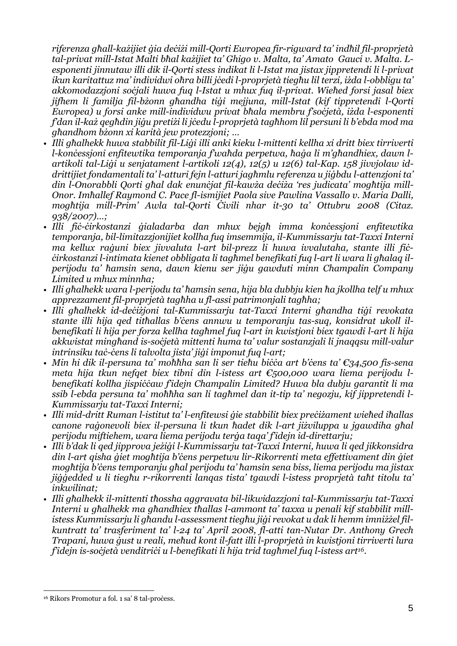riferenza aħall-każijiet aja deciżi mill-Oorti Ewropea fir-riaward ta' indħil fil-proprietà tal-privat mill-Istat Malti bhal kazijiet ta' Ghigo v. Malta, ta' Amato Gauci v. Malta. L*esponenti jinnutaw illi dik il-Qorti stess indikat li l-Istat ma jistax jippretendi li l-privat* ikun karitattuz ma' individwi oħra billi jċedi l-proprjetà tiegħu lil terzi, iżda l-obbligu ta' *akkomodazzjoni soċjali huwa fuq l-Istat u mhux fuq il-privat. Wieħed forsi jasal biex jifhem li familja fil-bżonn għandha tiġi mejjuna, mill-Istat (kif tippretendi l-Qorti Ewropea) u forsi anke mill-individwu privat bħala membru f'soċjetà, iżda l-esponenti* fdan il-kaz geghdin jigu pretizi li jcedu l-proprjetà taghhom lil persuni li b'ebda mod ma *għandhom bżonn xi karità jew protezzjoni; …*

- Illi għalhekk huwa stabbilit fil-Ligi illi anki kieku l-mittenti kellha xi dritt biex tirriverti l-koncessjoni enfitewtika temporanja fwahda perpetwa, haga li m'ghandhiex, dawn l*artikoli tal-Liġi u senjatament l-artikoli 12(4), 12(5) u 12(6) tal-Kap. 158 jivvjolaw iddrittijiet fondamentali ta' l-atturi fejn l-atturi jagħmlu referenza u jiġbdu l-attenzjoni ta'* din l-Onorabbli Qorti ghal dak enuncjat fil-kawża deciża 'res judicata' moghtija mill-*Onor. Imħallef Raymond C. Pace fl-ismijiet Paola sive Pawlina Vassallo v. Maria Dalli, mogħtija mill-Prim' Awla tal-Qorti Ċivili nhar it-30 ta' Ottubru 2008 (Citaz. 938/2007)…;*
- *• Illi fiċ-ċirkostanzi ġialadarba dan mhux bejgħ imma konċessjoni enfitewtika temporanja, bil-limitazzjonijiet kollha fuq imsemmija, il-Kummissarju tat-Taxxi Interni ma kellux raġuni biex jivvaluta l-art bil-prezz li huwa ivvalutaha, stante illi fiċ*cirkostanzi l-intimata kienet obbligata li tagħmel benefikati fug l-art li wara li għalag il*perijodu ta' ħamsin sena, dawn kienu ser jiġu gawduti minn Champalin Company Limited u mhux minnha;*
- · Illi għalhekk wara l-perijodu ta' ħamsin sena, hija bla dubbju kien ħa jkollha telf u mhux *apprezzament fil-proprjetà tagħha u fl-assi patrimonjali tagħha;*
- *• Illi għalhekk id-deċiżjoni tal-Kummissarju tat-Taxxi Interni għandha tiġi revokata stante illi hija qed titħallas b'ċens annwu u temporanju tas-suq, konsidrat ukoll ilbenefikati li hija per forza kellha tagħmel fuq l-art in kwistjoni biex tgawdi l-art li hija akkwistat mingħand is-soċjetà mittenti huma ta' valur sostanzjali li jnaqqsu mill-valur intrinsiku taċ-ċens li talvolta jista' jiġi imponut fuq l-art;*
- Min hi dik il-persuna ta' moħħha san li ser tieħu biċċa art b'ċens ta' €34,500 fis-sena *meta hija tkun nefqet biex tibni din l-istess art €500,000 wara liema perijodu lbenefikati kollha jispiċċaw f'idejn Champalin Limited? Huwa bla dubju garantit li ma* ssib l-ebda persuna ta' moħħha san li tagħmel dan it-tip ta' negozju, kif jippretendi l-*Kummissarju tat-Taxxi Interni;*
- Illi mid-dritt Ruman l-istitut ta' l-enfitewsi gie stabbilit biex precizament wiehed ihallas *canone raġonevoli biex il-persuna li tkun ħadet dik l-art jiżviluppa u jgawdiha għal perijodu miftiehem, wara liema perijodu terġa taqa' f'idejn id-direttarju;*
- · Illi b'dak li qed jipprova jeżigi l-Kummissarju tat-Taxxi Interni, huwa li qed jikkonsidra *din l-art qisha ġiet mogħtija b'ċens perpetwu lir-Rikorrenti meta effettivament din ġiet* moghtija b'čens temporanju ghal perijodu ta' hamsin sena biss, liema perijodu ma jistax jiggedded u li tieghu r-rikorrenti langas tista' tgawdi l-istess proprjetà taht titolu ta' *inkwilinat;*
- *• Illi għalhekk il-mittenti tħossha aggravata bil-likwidazzjoni tal-Kummissarju tat-Taxxi* Interni u għalhekk ma għandhiex tħallas l-ammont ta' taxxa u penali kif stabbilit millistess Kummissarju li għandu l-assessment tiegħu jiġi revokat u dak li hemm imniżżel fil*kuntratt ta' trasferiment ta' l-24 ta' April 2008, fl-atti tan-Nutar Dr. Anthony Grech Trapani, huwa ġust u reali, meħud kont il-fatt illi l-proprjetà in kwistjoni tirriverti lura* fidein is-società venditrici u l-benefikati li hija trid taghmel fug l-istess art<sup>16</sup>.

<sup>&</sup>lt;sup>16</sup> Rikors Promotur a fol. 1 sa' 8 tal-process.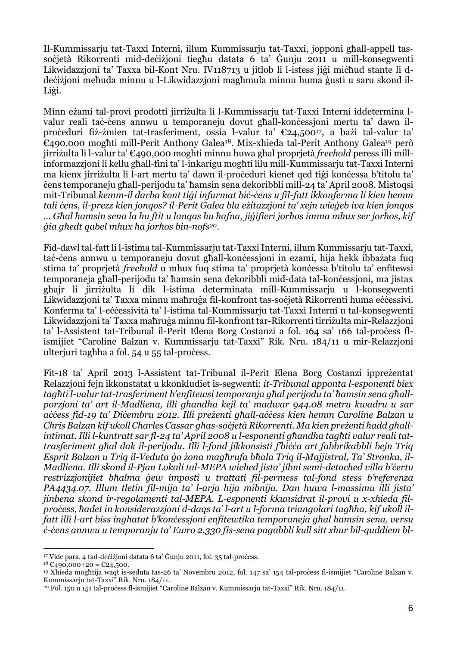Il-Kummissarju tat-Taxxi Interni, illum Kummissarju tat-Taxxi, jopponi għall-appell tassoċjetà Rikorrenti mid-deċiżjoni tiegħu datata 6 ta' Ġunju 2011 u mill-konsegwenti Likwidazzjoni ta' Taxxa bil-Kont Nru. IV118713 u jitlob li l-istess jiġi miċħud stante li ddeċiżjoni meħuda minnu u l-Likwidazzjoni magħmula minnu huma ġusti u saru skond il-Liġi.

Minn eżami tal-provi prodotti jirriżulta li l-Kummissarju tat-Taxxi Interni iddetermina lvalur reali taċ-cens annwu u temporaneju dovut għall-koncessioni mertu ta' dawn ilproċeduri fiż-żmien tat-trasferiment, ossia l-valur ta' €24,50017, a bażi tal-valur ta' €490,000 mogħti mill-Perit Anthony Galea18. Mix-xhieda tal-Perit Anthony Galea<sup>19</sup> però jirriżulta li l-valur ta' €490,000 mogħti minnu huwa għal proprjetà *freehold* peress illi millinformazzjoni li kellu għall-fini ta' l-inkarigu mogħti lilu mill-Kummissarju tat-Taxxi Interni ma kienx jirriżulta li l-art mertu ta' dawn il-proċeduri kienet qed tiġi konċessa b'titolu ta' ċens temporaneju għall-perijodu ta' ħamsin sena dekoribbli mill-24 ta' April 2008. Mistoqsi mit-Tribunal *kemm-il darba kont tiġi infurmat biċ-ċens u fil-fatt ikkonferma li kien hemm* tali cens, il-prezz kien jongos? il-Perit Galea bla ezitazzioni ta' xejn wiegeb iva kien jongos ... Ghal hamsin sena la hu ftit u langas hu hafna, jiàifieri jorhos imma mhux ser jorhos, kif *ġia għedt qabel mhux ħa jorħos bin-nofs20*.

Fid-dawl tal-fatt li l-istima tal-Kummissarju tat-Taxxi Interni, illum Kummissarju tat-Taxxi, taċ-ċens annwu u temporaneju dovut għall-konċessjoni in ezami, hija hekk ibbażata fuq stima ta' proprietà *freehold* u mhux fuq stima ta' proprietà konċessa b'titolu ta' enfitewsi temporaneja għall-perijodu ta' ħamsin sena dekoribbli mid-data tal-konċessjoni, ma jistax għajr li jirriżulta li dik l-istima determinata mill-Kummissarju u l-konsegwenti Likwidazzjoni ta' Taxxa minnu maħruġa fil-konfront tas-soċjetà Rikorrenti huma eċċessivi. Konferma ta' l-eċċessività ta' l-istima tal-Kummissarju tat-Taxxi Interni u tal-konsegwenti Likwidazzjoni ta' Taxxa maħruġa minnu fil-konfront tar-Rikorrenti tirriżulta mir-Relazzjoni ta' l-Assistent tat-Tribunal il-Perit Elena Borg Costanzi a fol. 164 sa' 166 tal-process flismijiet "Caroline Balzan v. Kummissarju tat-Taxxi" Rik. Nru. 184/11 u mir-Relazzjoni ulterjuri tagħha a fol. 54 u 55 tal-process.

Fit-18 ta' April 2013 l-Assistent tat-Tribunal il-Perit Elena Borg Costanzi ippreżentat Relazzjoni fejn ikkonstatat u kkonkludiet is-segwenti: *it-Tribunal apponta l-esponenti biex* taghti l-valur tat-trasferiment b'enfitewsi temporanja ghal perijodu ta' hamsin sena ghall*porzjoni ta' art il-Madliena, illi għandha kejl ta' madwar 944.08 metru kwadru u sar* access fid-19 ta' Dicembru 2012. Illi prezenti ghall-access kien hemm Caroline Balzan u Chris Balzan kif ukoll Charles Cassar għas-soċjetà Rikorrenti. Ma kien preżenti ħadd għallintimat. Illi l-kuntratt sar fl-24 ta' April 2008 u l-esponenti għandha tagħti valur reali tat*trasferiment għal dak il-perijodu. Illi l-fond jikkonsisti f'biċċa art fabbrikabbli bejn Triq* Esprit Balzan u Triq il-Veduta go żona maghrufa bhala Triq il-Majjistral, Ta' Stronka, il-*Madliena. Illi skond il-Pjan Lokali tal-MEPA wieħed jista' jibni semi-detached villa b'ċertu restrizzjonijiet bħalma ġew imposti u trattati fil-permess tal-fond stess b'referenza PA4434.07. Illum tletin fil-mija ta' l-arja hija mibnija. Dan huwa l-massimu illi jista' jinbena skond ir-regolamenti tal-MEPA. L-esponenti kkunsidrat il-provi u x-xhieda fil*process, hadet in konsiderazzioni d-dags ta' l-art u l-forma triangolari taghha, kif ukoll ilfatt illi l-art biss inghatat b'koncessioni enfitewtika temporaneja ghal hamsin sena, versu *ċ-ċens annwu u temporanju ta' Ewro 2,330 fis-sena pagabbli kull sitt xhur bil-quddiem bl-*

<sup>&</sup>lt;sup>17</sup> Vide para. 4 tad-deċiżjoni datata 6 ta' Ġunju 2011, fol. 35 tal-proċess.

 $18 \text{ } \text{£}490,000 \div 20 = \text{£}24,500.$ 

<sup>&</sup>lt;sup>19</sup> Xhieda mogħtija waqt is-seduta tas-26 ta' Novembru 2012, fol. 147 sa' 154 tal-proċess fl-ismijiet "Caroline Balzan v. Kummissarju tat-Taxxi" Rik. Nru. 184/11.

<sup>20</sup> Fol. 150 u 151 tal-proċess fl-ismijiet "Caroline Balzan v. Kummissarju tat-Taxxi" Rik. Nru. 184/11.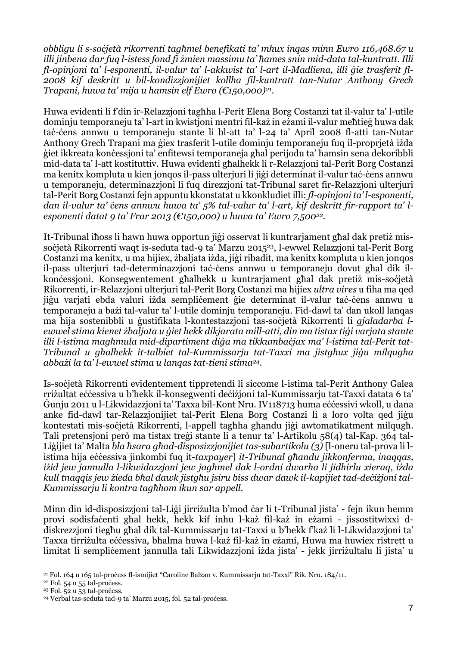*obbligu li s-soċjetà rikorrenti tagħmel benefikati ta' mhux inqas minn Ewro 116,468.67 u illi jinbena dar fuq l-istess fond fi żmien massimu ta' ħames snin mid-data tal-kuntratt. Illi fl-opinjoni ta' l-esponenti, il-valur ta' l-akkwist ta' l-art il-Madliena, illi ġie trasferit fl-2008 kif deskritt u bil-kondizzjonijiet kollha fil-kuntratt tan-Nutar Anthony Grech Trapani, huwa ta' mija u ħamsin elf Ewro (€150,000)<sup>21</sup> .*

Huwa evidenti li f'din ir-Relazzjoni tagħha l-Perit Elena Borg Costanzi tat il-valur ta' l-utile dominju temporaneju ta' l-art in kwistjoni mentri fil-każ in eżami il-valur meħtieġ huwa dak taċ-ċens annwu u temporaneju stante li bl-att ta' l-24 ta' April 2008 fl-atti tan-Nutar Anthony Grech Trapani ma ġiex trasferit l-utile dominju temporaneju fuq il-proprjetà iżda ġiet ikkreata konċessjoni ta' enfitewsi temporaneja għal perijodu ta' ħamsin sena dekoribbli mid-data ta' l-att kostituttiv. Huwa evidenti għalhekk li r-Relazzjoni tal-Perit Borg Costanzi ma kenitx kompluta u kien jonqos il-pass ulterjuri li jiġi determinat il-valur taċ-ċens annwu u temporaneju, determinazzjoni li fuq direzzjoni tat-Tribunal saret fir-Relazzjoni ulterjuri tal-Perit Borg Costanzi fejn appuntu kkonstatat u kkonkludiet illi: *fl-opinjoni ta' l-esponenti,* dan il-valur ta' cens annwu huwa ta' 5% tal-valur ta' l-art, kif deskritt fir-rapport ta' l*esponenti datat 9 ta' Frar 2013 (€150,000) u huwa ta' Ewro 7,50022*.

It-Tribunal iħoss li hawn huwa opportun jiġi osservat li kuntrarjament għal dak pretiż missoċjetà Rikorrenti waqt is-seduta tad-9 ta' Marzu 2015<sup>23</sup>, l-ewwel Relazzioni tal-Perit Borg Costanzi ma kenitx, u ma hijiex, żbaljata iżda, jiġi ribadit, ma kenitx kompluta u kien jonqos il-pass ulterjuri tad-determinazzjoni taċ-ċens annwu u temporaneju dovut għal dik ilkonċessjoni. Konsegwentement għalhekk u kuntrarjament għal dak pretiż mis-soċjetà Rikorrenti, ir-Relazzjoni ulterjuri tal-Perit Borg Costanzi ma hijiex *ultra vires* u fiha ma qed jiġu varjati ebda valuri iżda sempliċement ġie determinat il-valur taċ-ċens annwu u temporaneju a bażi tal-valur ta' l-utile dominju temporaneju. Fid-dawl ta' dan ukoll lanqas ma hija sostenibbli u ġustifikata l-kontestazzjoni tas-soċjetà Rikorrenti li *gjaladarba l*ewwel stima kienet żbaljata u giet hekk dikjarata mill-atti, din ma tistax tigi varjata stante *illi l-istima magħmula mid-dipartiment diġa ma tikkumbaċjax ma' l-istima tal-Perit tat-Tribunal u għalhekk it-talbiet tal-Kummissarju tat-Taxxi ma jistgħux jiġu milqugħa abbażi la ta' l-ewwel stima u lanqas tat-tieni stima24.*

Is-soċjetà Rikorrenti evidentement tippretendi li siccome l-istima tal-Perit Anthony Galea rriżultat eċċessiva u b'hekk il-konsegwenti deċiżjoni tal-Kummissarju tat-Taxxi datata 6 ta' Ġunju 2011 u l-Likwidazzjoni ta' Taxxa bil-Kont Nru. IV118713 huma eċċessivi wkoll, u dana anke fid-dawl tar-Relazzjonijiet tal-Perit Elena Borg Costanzi li a loro volta qed jiġu kontestati mis-soċjetà Rikorrenti, l-appell tagħha għandu jiġi awtomatikatment milqugħ. Tali pretensjoni però ma tistax treġi stante li a tenur ta' l-Artikolu 58(4) tal-Kap. 364 tal-Liġijiet ta' Malta *bla ħsara għad-disposizzjonijiet tas-subartikolu (3)* [l-oneru tal-prova li listima hija eċċessiva jinkombi fuq it-*taxpayer*] *it-Tribunal għandu jikkonferma, inaqqas, iżid jew jannulla l-likwidazzjoni jew jagħmel dak l-ordni dwarha li jidhirlu xieraq, iżda* kull tnaggis jew żieda bħal dawk jistaħu jsiru biss dwar dawk il-kapijiet tad-deciżjoni tal-*Kummissarju li kontra tagħhom ikun sar appell.*

Minn din id-disposizzjoni tal-Liġi jirriżulta b'mod ċar li t-Tribunal jista' - fejn ikun hemm provi sodisfaċenti għal hekk, hekk kif inhu l-każ fil-każ in eżami - jissostitwixxi ddiskrezzjoni tiegħu għal dik tal-Kummissarju tat-Taxxi u b'hekk f'każ li l-Likwidazzjoni ta' Taxxa tirriżulta eċċessiva, bħalma huwa l-każ fil-każ in eżami, Huwa ma huwiex ristrett u limitat li sempličement jannulla tali Likwidazzjoni iżda jista' - jekk jirriżultalu li jista' u

<sup>&</sup>lt;sup>21</sup> Fol. 164 u 165 tal-process fl-ismijiet "Caroline Balzan v. Kummissarju tat-Taxxi" Rik. Nru. 184/11.

<sup>&</sup>lt;sup>22</sup> Fol. 54 u 55 tal-process.

 $23$  Fol. 52 u 53 tal-process.

<sup>&</sup>lt;sup>24</sup> Verbal tas-seduta tad-9 ta' Marzu 2015, fol. 52 tal-process.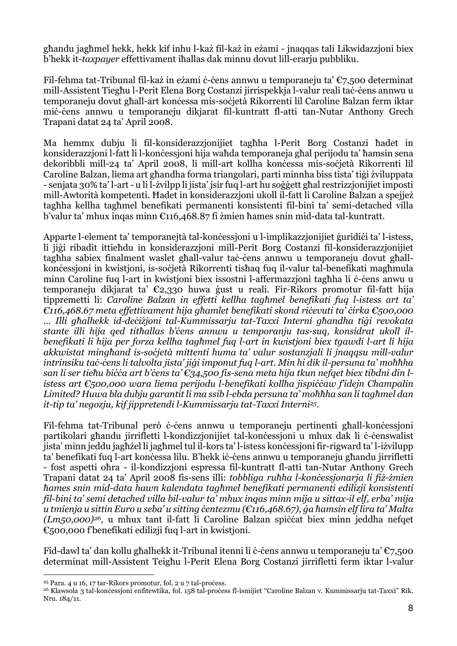għandu jagħmel hekk, hekk kif inhu l-każ fil-każ in eżami - jnaqqas tali Likwidazzjoni biex b'hekk it-*taxpayer* effettivament iħallas dak minnu dovut lill-erarju pubbliku.

Fil-fehma tat-Tribunal fil-każ in eżami ċ-ċens annwu u temporaneju ta' €7,500 determinat mill-Assistent Tiegħu l-Perit Elena Borg Costanzi jirrispekkja l-valur reali taċ-ċens annwu u temporaneju dovut għall-art konċessa mis-soċjetà Rikorrenti lil Caroline Balzan ferm iktar miċ-ċens annwu u temporaneju dikjarat fil-kuntratt fl-atti tan-Nutar Anthony Grech Trapani datat 24 ta' April 2008.

Ma hemmx dubju li fil-konsiderazzjonijiet tagħha l-Perit Borg Costanzi ħadet in konsiderazzioni l-fatt li l-konċessioni hija waħda temporaneja għal perijodu ta' ħamsin sena dekoribbli mill-24 ta' April 2008, li mill-art kollha konċessa mis-soċjetà Rikorrenti lil Caroline Balzan, liema art għandha forma triangolari, parti minnha biss tista' tiġi żviluppata - senjata 30% ta' l-art - u li l-żvilpp li jista' jsir fuq l-art hu soġġett għal restrizzjonijiet imposti mill-Awtorità kompetenti. Ħadet in konsiderazzjoni ukoll il-fatt li Caroline Balzan a spejjeż tagħha kellha tagħmel benefikati permanenti konsistenti fil-bini ta' semi-detached villa b'valur ta' mhux inqas minn €116,468.87 fi żmien ħames snin mid-data tal-kuntratt.

Apparte l-element ta' temporanejtà tal-konċessjoni u l-implikazzjonijiet ġuridiċi ta' l-istess, li jiġi ribadit ittieħdu in konsiderazzjoni mill-Perit Borg Costanzi fil-konsiderazzjonijiet tagħha sabiex finalment waslet għall-valur taċ-ċens annwu u temporaneju dovut għallkonċessioni in kwistioni, is-soċjetà Rikorrenti tisħaq fuq il-valur tal-benefikati magħmula minn Caroline fuq l-art in kwistjoni biex issostni l-affermazzjoni tagħha li ċ-ċens anwu u temporaneju dikjarat ta' €2,330 huwa ġust u reali. Fir-Rikors promotur fil-fatt hija tippremetti li: *Caroline Balzan in effetti kellha tagħmel benefikati fuq l-istess art ta' €116,468.67 meta effettivament hija għamlet benefikati skond riċevuti ta' ċirka €500,000 … Illi għalhekk id-deċiżjoni tal-Kummissarju tat-Taxxi Interni għandha tiġi revokata stante illi hija qed titħallas b'ċens annwu u temporanju tas-suq, konsidrat ukoll ilbenefikati li hija per forza kellha tagħmel fuq l-art in kwistjoni biex tgawdi l-art li hija akkwistat mingħand is-soċjetà mittenti huma ta' valur sostanzjali li jnaqqsu mill-valur* intrinsiku tač-čens li talvolta jista' jigi imponut fug l-art. Min hi dik il-persuna ta' moħħha san li ser tiehu bicca art b'cens ta'  $\epsilon$ 34,500 fis-sena meta hija tkun nefqet biex tibdni din l*istess art €500,000 wara liema perijodu l-benefikati kollha jispiċċaw f'idejn Champalin* Limited? Huwa bla dubju garantit li ma ssib l-ebda persuna ta' moħħha san li tagħmel dan *it-tip ta' negozju, kif jippretendi l-Kummissarju tat-Taxxi Interni25.*

Fil-fehma tat-Tribunal però ċ-ċens annwu u temporaneju pertinenti għall-konċessjoni partikolari għandu jirrifletti l-kondizzionijiet tal-konċessioni u mhux dak li ċ-ċenswalist jista' minn jeddu jagħżel li jagħmel tul il-kors ta' l-istess konċessjoni fir-rigward ta' l-iżvilupp ta' benefikati fuq l-art konċessa lilu. B'hekk iċ-ċens annwu u temporaneju għandu jirrifletti - fost aspetti oħra - il-kondizzjoni espressa fil-kuntratt fl-atti tan-Nutar Anthony Grech Trapani datat 24 ta' April 2008 fis-sens illi: *tobbliga ruħha l-konċessjonarja li fiż-żmien ħames snin mid-data hawn kalendata tagħmel benefikati permanenti edilizji konsistenti* fil-bini ta' semi detached villa bil-valur ta' mhux ingas minn mija u sittax-il elf, erba' mija u tmienja u sittin Euro u seba'u sitting centezmu ( $\epsilon$ 116,468.67), ga hamsin elf lira ta' Malta *(Lm50,000)<sup>26</sup>*, u mhux tant il-fatt li Caroline Balzan spiċċat biex minn jeddha nefqet €500,000 f'benefikati edilizji fuq l-art in kwistjoni.

Fid-dawl ta' dan kollu għalhekk it-Tribunal itenni li ċ-ċens annwu u temporaneju ta' €7,500 determinat mill-Assistent Teigħu l-Perit Elena Borg Costanzi jirrifletti ferm iktar l-valur

<sup>&</sup>lt;sup>25</sup> Para. 4 u 16, 17 tar-Rikors promotur, fol. 2 u 7 tal-process.

<sup>&</sup>lt;sup>26</sup> Klawsola 3 tal-konċessjoni enfitewtika, fol. 158 tal-proċess fl-ismijiet "Caroline Balzan v. Kummissarju tat-Taxxi" Rik. Nru. 184/11.